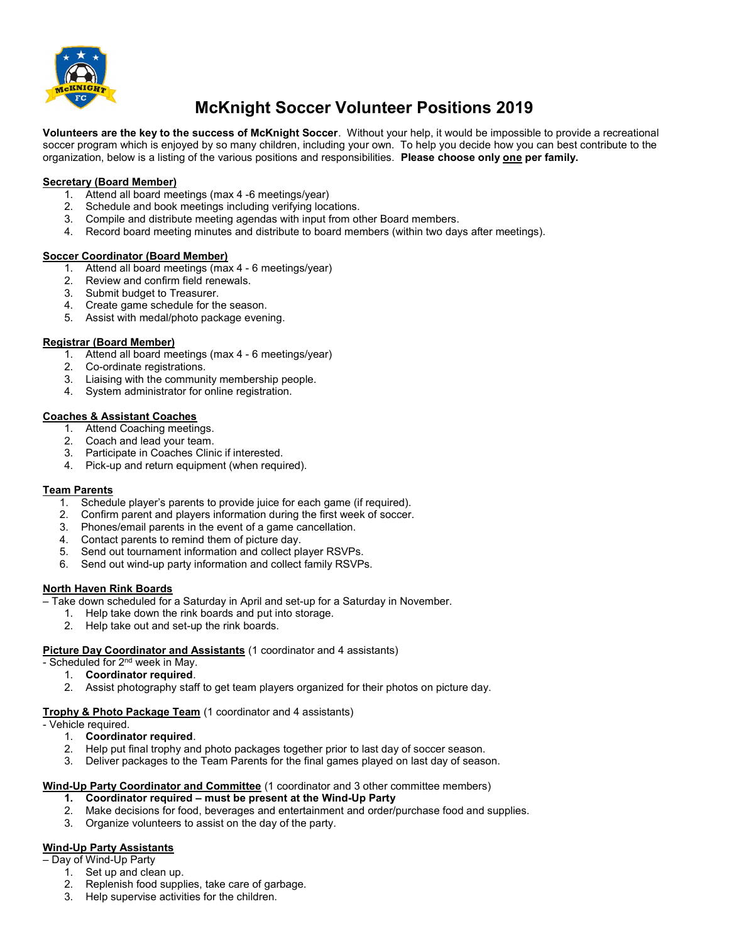

# McKnight Soccer Volunteer Positions 2019

Volunteers are the key to the success of McKnight Soccer. Without your help, it would be impossible to provide a recreational soccer program which is enjoyed by so many children, including your own. To help you decide how you can best contribute to the organization, below is a listing of the various positions and responsibilities. Please choose only one per family.

## Secretary (Board Member)

- 1. Attend all board meetings (max 4 -6 meetings/year)
- 2. Schedule and book meetings including verifying locations.
- 3. Compile and distribute meeting agendas with input from other Board members.
- 4. Record board meeting minutes and distribute to board members (within two days after meetings).

## Soccer Coordinator (Board Member)

- 1. Attend all board meetings (max 4 6 meetings/year)
- 2. Review and confirm field renewals.
- 3. Submit budget to Treasurer.
- 4. Create game schedule for the season.
- 5. Assist with medal/photo package evening.

## Registrar (Board Member)

- 1. Attend all board meetings (max 4 6 meetings/year)
- 2. Co-ordinate registrations.
- 3. Liaising with the community membership people.
- 4. System administrator for online registration.

## Coaches & Assistant Coaches

- 1. Attend Coaching meetings.
- 2. Coach and lead your team.
- 3. Participate in Coaches Clinic if interested.
- 4. Pick-up and return equipment (when required).

## Team Parents

- 1. Schedule player's parents to provide juice for each game (if required).
- 2. Confirm parent and players information during the first week of soccer.
- 3. Phones/email parents in the event of a game cancellation.
- 4. Contact parents to remind them of picture day.
- 5. Send out tournament information and collect player RSVPs.
- 6. Send out wind-up party information and collect family RSVPs.

## North Haven Rink Boards

- Take down scheduled for a Saturday in April and set-up for a Saturday in November.
	- 1. Help take down the rink boards and put into storage.
	- 2. Help take out and set-up the rink boards.

## Picture Day Coordinator and Assistants (1 coordinator and 4 assistants)

- Scheduled for 2<sup>nd</sup> week in May.
	- 1. Coordinator required.
	- 2. Assist photography staff to get team players organized for their photos on picture day.

## Trophy & Photo Package Team (1 coordinator and 4 assistants)

- Vehicle required.
	- 1. **Coordinator required.**<br>2. Help put final trophy and
	- Help put final trophy and photo packages together prior to last day of soccer season.
	- 3. Deliver packages to the Team Parents for the final games played on last day of season.

## Wind-Up Party Coordinator and Committee (1 coordinator and 3 other committee members)

## 1. Coordinator required – must be present at the Wind-Up Party

- 2. Make decisions for food, beverages and entertainment and order/purchase food and supplies.
- 3. Organize volunteers to assist on the day of the party.

## Wind-Up Party Assistants

- Day of Wind-Up Party
	- 1. Set up and clean up.
	- 2. Replenish food supplies, take care of garbage.
	- 3. Help supervise activities for the children.